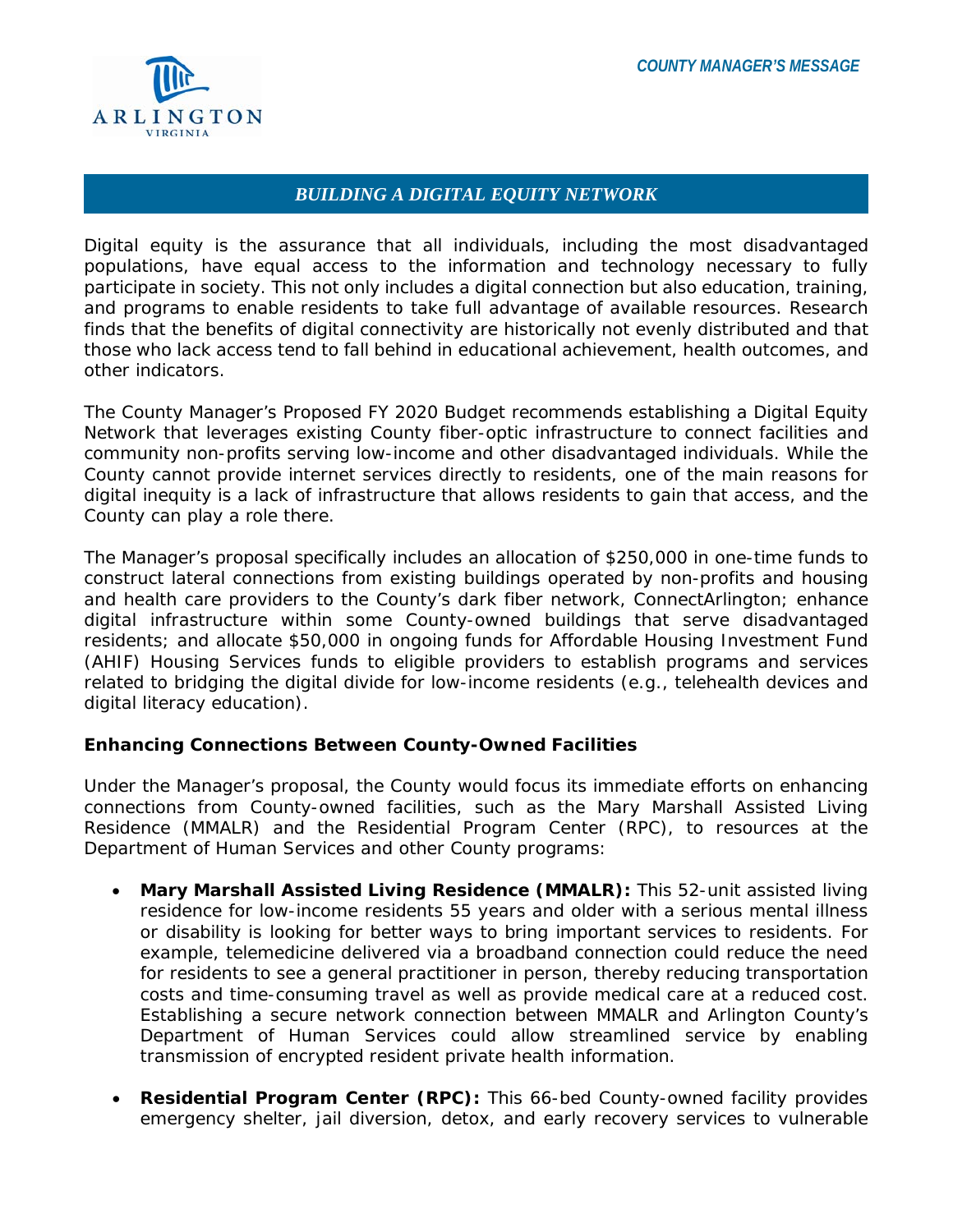

## *BUILDING A DIGITAL EQUITY NETWORK*

Digital equity is the assurance that all individuals, including the most disadvantaged populations, have equal access to the information and technology necessary to fully participate in society. This not only includes a digital connection but also education, training, and programs to enable residents to take full advantage of available resources. Research finds that the benefits of digital connectivity are historically not evenly distributed and that those who lack access tend to fall behind in educational achievement, health outcomes, and other indicators.

The County Manager's Proposed FY 2020 Budget recommends establishing a Digital Equity Network that leverages existing County fiber-optic infrastructure to connect facilities and community non-profits serving low-income and other disadvantaged individuals. While the County cannot provide internet services directly to residents, one of the main reasons for digital inequity is a lack of infrastructure that allows residents to gain that access, and the County can play a role there.

The Manager's proposal specifically includes an allocation of \$250,000 in one-time funds to construct lateral connections from existing buildings operated by non-profits and housing and health care providers to the County's dark fiber network, ConnectArlington; enhance digital infrastructure within some County-owned buildings that serve disadvantaged residents; and allocate \$50,000 in ongoing funds for Affordable Housing Investment Fund (AHIF) Housing Services funds to eligible providers to establish programs and services related to bridging the digital divide for low-income residents (e.g., telehealth devices and digital literacy education).

## **Enhancing Connections Between County-Owned Facilities**

Under the Manager's proposal, the County would focus its immediate efforts on enhancing connections from County-owned facilities, such as the Mary Marshall Assisted Living Residence (MMALR) and the Residential Program Center (RPC), to resources at the Department of Human Services and other County programs:

- **Mary Marshall Assisted Living Residence (MMALR):** This 52-unit assisted living residence for low-income residents 55 years and older with a serious mental illness or disability is looking for better ways to bring important services to residents. For example, telemedicine delivered via a broadband connection could reduce the need for residents to see a general practitioner in person, thereby reducing transportation costs and time-consuming travel as well as provide medical care at a reduced cost. Establishing a secure network connection between MMALR and Arlington County's Department of Human Services could allow streamlined service by enabling transmission of encrypted resident private health information.
- **Residential Program Center (RPC):** This 66-bed County-owned facility provides emergency shelter, jail diversion, detox, and early recovery services to vulnerable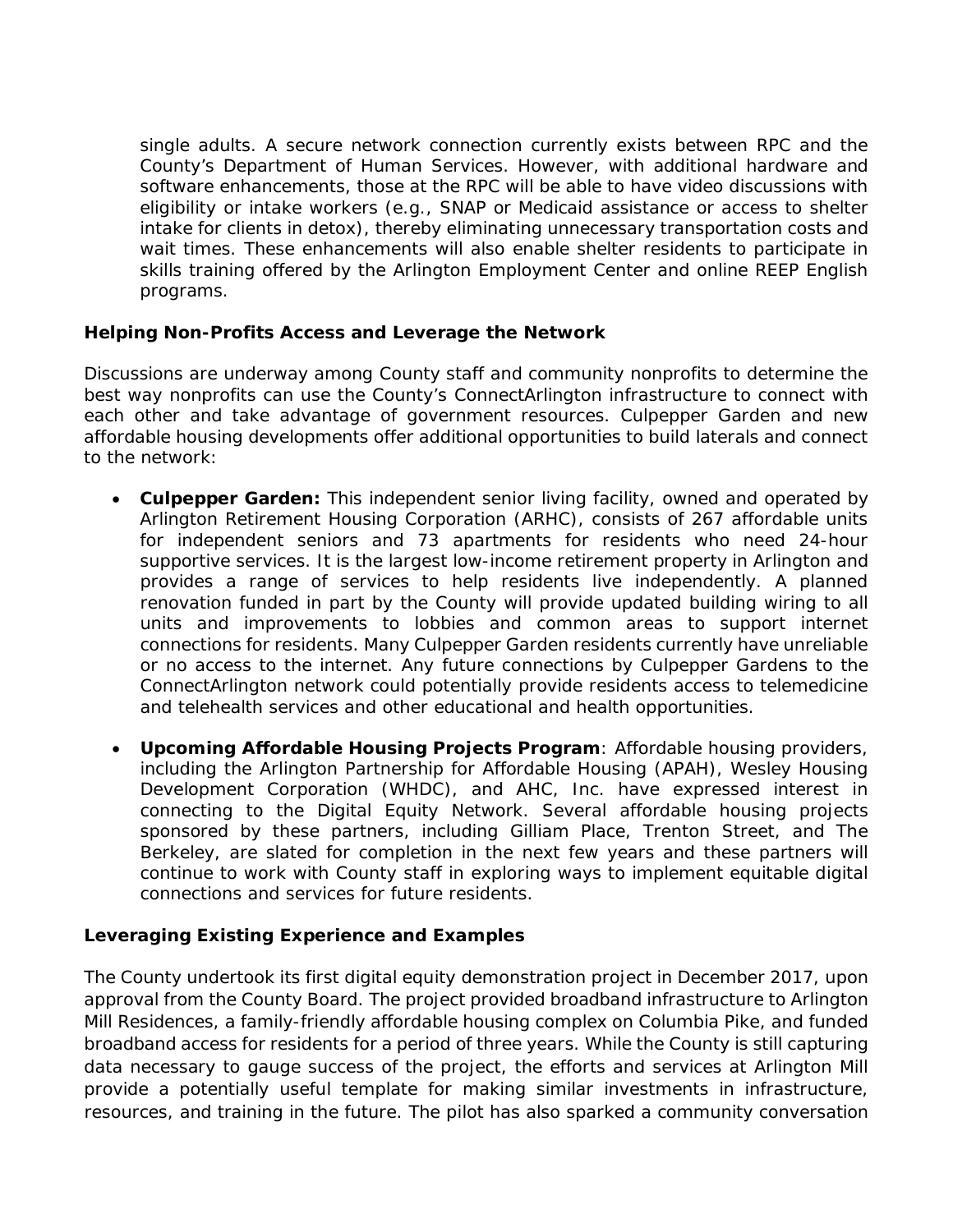single adults. A secure network connection currently exists between RPC and the County's Department of Human Services. However, with additional hardware and software enhancements, those at the RPC will be able to have video discussions with eligibility or intake workers (e.g., SNAP or Medicaid assistance or access to shelter intake for clients in detox), thereby eliminating unnecessary transportation costs and wait times. These enhancements will also enable shelter residents to participate in skills training offered by the Arlington Employment Center and online REEP English programs.

## **Helping Non-Profits Access and Leverage the Network**

Discussions are underway among County staff and community nonprofits to determine the best way nonprofits can use the County's ConnectArlington infrastructure to connect with each other and take advantage of government resources. Culpepper Garden and new affordable housing developments offer additional opportunities to build laterals and connect to the network:

- **Culpepper Garden:** This independent senior living facility, owned and operated by Arlington Retirement Housing Corporation (ARHC), consists of 267 affordable units for independent seniors and 73 apartments for residents who need 24-hour supportive services. It is the largest low-income retirement property in Arlington and provides a range of services to help residents live independently. A planned renovation funded in part by the County will provide updated building wiring to all units and improvements to lobbies and common areas to support internet connections for residents. Many Culpepper Garden residents currently have unreliable or no access to the internet. Any future connections by Culpepper Gardens to the ConnectArlington network could potentially provide residents access to telemedicine and telehealth services and other educational and health opportunities.
- **Upcoming Affordable Housing Projects Program**: Affordable housing providers, including the Arlington Partnership for Affordable Housing (APAH), Wesley Housing Development Corporation (WHDC), and AHC, Inc. have expressed interest in connecting to the Digital Equity Network. Several affordable housing projects sponsored by these partners, including Gilliam Place, Trenton Street, and The Berkeley, are slated for completion in the next few years and these partners will continue to work with County staff in exploring ways to implement equitable digital connections and services for future residents.

## **Leveraging Existing Experience and Examples**

The County undertook its first digital equity demonstration project in December 2017, upon approval from the County Board. The project provided broadband infrastructure to Arlington Mill Residences, a family-friendly affordable housing complex on Columbia Pike, and funded broadband access for residents for a period of three years. While the County is still capturing data necessary to gauge success of the project, the efforts and services at Arlington Mill provide a potentially useful template for making similar investments in infrastructure, resources, and training in the future. The pilot has also sparked a community conversation